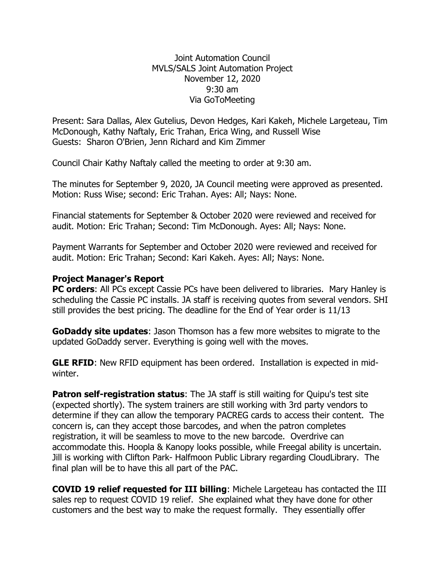Joint Automation Council MVLS/SALS Joint Automation Project November 12, 2020 9:30 am Via GoToMeeting

Present: Sara Dallas, Alex Gutelius, Devon Hedges, Kari Kakeh, Michele Largeteau, Tim McDonough, Kathy Naftaly, Eric Trahan, Erica Wing, and Russell Wise Guests: Sharon O'Brien, Jenn Richard and Kim Zimmer

Council Chair Kathy Naftaly called the meeting to order at 9:30 am.

The minutes for September 9, 2020, JA Council meeting were approved as presented. Motion: Russ Wise; second: Eric Trahan. Ayes: All; Nays: None.

Financial statements for September & October 2020 were reviewed and received for audit. Motion: Eric Trahan; Second: Tim McDonough. Ayes: All; Nays: None.

Payment Warrants for September and October 2020 were reviewed and received for audit. Motion: Eric Trahan; Second: Kari Kakeh. Ayes: All; Nays: None.

## **Project Manager's Report**

**PC orders:** All PCs except Cassie PCs have been delivered to libraries. Mary Hanley is scheduling the Cassie PC installs. JA staff is receiving quotes from several vendors. SHI still provides the best pricing. The deadline for the End of Year order is 11/13

**GoDaddy site updates**: Jason Thomson has a few more websites to migrate to the updated GoDaddy server. Everything is going well with the moves.

**GLE RFID**: New RFID equipment has been ordered. Installation is expected in midwinter.

**Patron self-registration status:** The JA staff is still waiting for Quipu's test site (expected shortly). The system trainers are still working with 3rd party vendors to determine if they can allow the temporary PACREG cards to access their content. The concern is, can they accept those barcodes, and when the patron completes registration, it will be seamless to move to the new barcode. Overdrive can accommodate this. Hoopla & Kanopy looks possible, while Freegal ability is uncertain. Jill is working with Clifton Park- Halfmoon Public Library regarding CloudLibrary. The final plan will be to have this all part of the PAC.

**COVID 19 relief requested for III billing**: Michele Largeteau has contacted the III sales rep to request COVID 19 relief. She explained what they have done for other customers and the best way to make the request formally. They essentially offer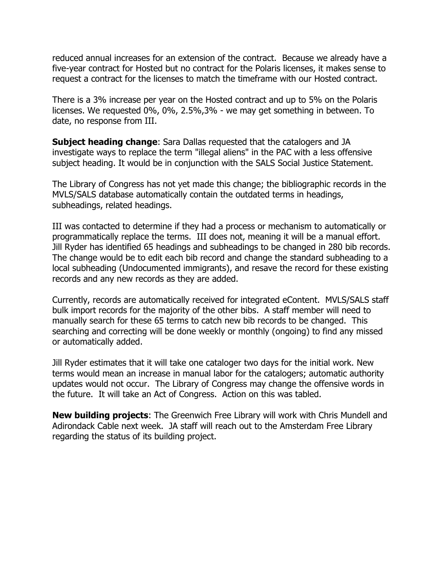reduced annual increases for an extension of the contract. Because we already have a five-year contract for Hosted but no contract for the Polaris licenses, it makes sense to request a contract for the licenses to match the timeframe with our Hosted contract.

There is a 3% increase per year on the Hosted contract and up to 5% on the Polaris licenses. We requested 0%, 0%, 2.5%,3% - we may get something in between. To date, no response from III.

**Subject heading change**: Sara Dallas requested that the catalogers and JA investigate ways to replace the term "illegal aliens" in the PAC with a less offensive subject heading. It would be in conjunction with the SALS Social Justice Statement.

The Library of Congress has not yet made this change; the bibliographic records in the MVLS/SALS database automatically contain the outdated terms in headings, subheadings, related headings.

III was contacted to determine if they had a process or mechanism to automatically or programmatically replace the terms. III does not, meaning it will be a manual effort. Jill Ryder has identified 65 headings and subheadings to be changed in 280 bib records. The change would be to edit each bib record and change the standard subheading to a local subheading (Undocumented immigrants), and resave the record for these existing records and any new records as they are added.

Currently, records are automatically received for integrated eContent. MVLS/SALS staff bulk import records for the majority of the other bibs. A staff member will need to manually search for these 65 terms to catch new bib records to be changed. This searching and correcting will be done weekly or monthly (ongoing) to find any missed or automatically added.

Jill Ryder estimates that it will take one cataloger two days for the initial work. New terms would mean an increase in manual labor for the catalogers; automatic authority updates would not occur. The Library of Congress may change the offensive words in the future. It will take an Act of Congress. Action on this was tabled.

**New building projects**: The Greenwich Free Library will work with Chris Mundell and Adirondack Cable next week. JA staff will reach out to the Amsterdam Free Library regarding the status of its building project.